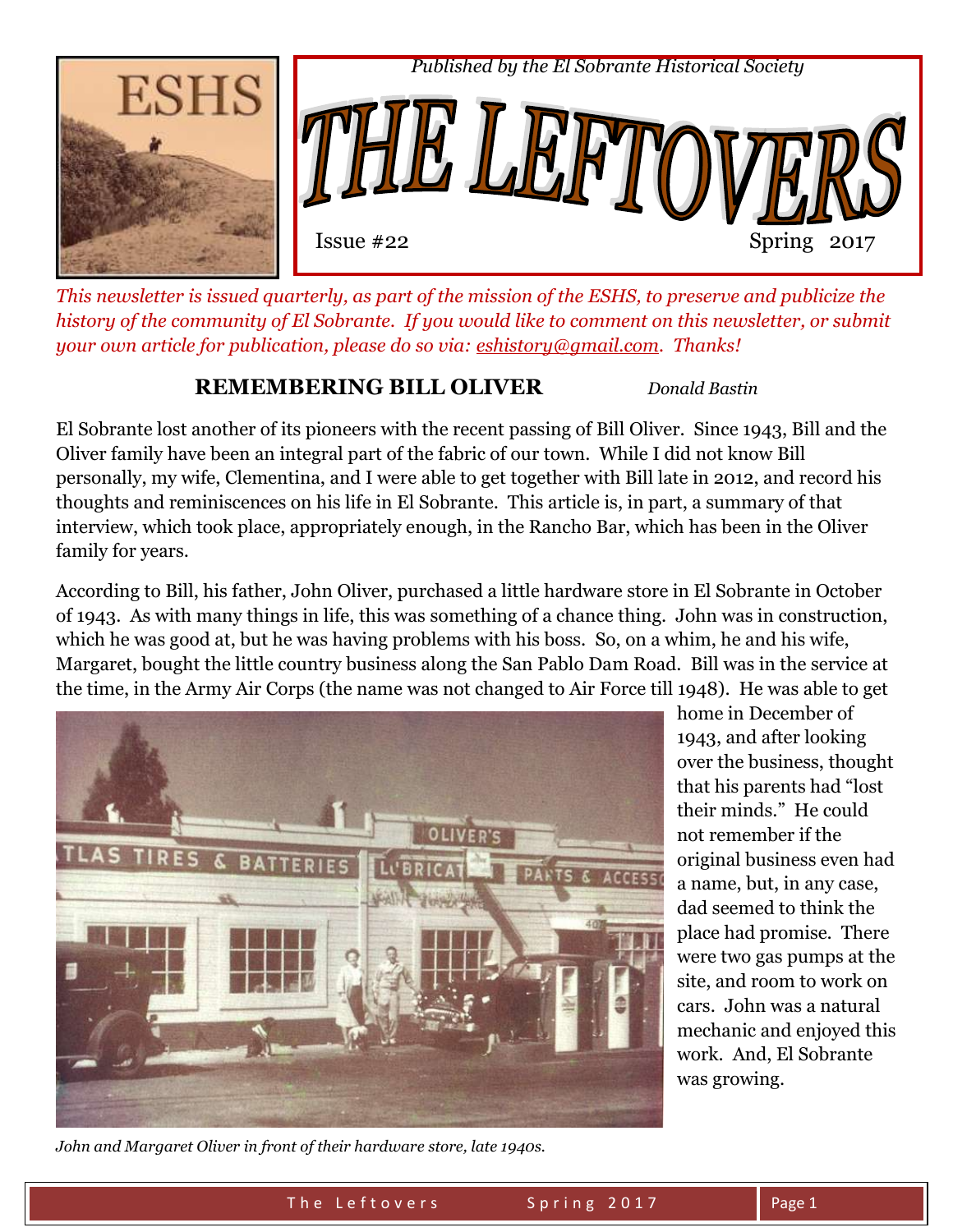

*This newsletter is issued quarterly, as part of the mission of the ESHS, to preserve and publicize the history of the community of El Sobrante. If you would like to comment on this newsletter, or submit your own article for publication, please do so via: [eshistory@gmail.com.](mailto:eshistory@gmail.com) Thanks!* 

## **REMEMBERING BILL OLIVER** *Donald Bastin*

El Sobrante lost another of its pioneers with the recent passing of Bill Oliver. Since 1943, Bill and the Oliver family have been an integral part of the fabric of our town. While I did not know Bill personally, my wife, Clementina, and I were able to get together with Bill late in 2012, and record his thoughts and reminiscences on his life in El Sobrante. This article is, in part, a summary of that interview, which took place, appropriately enough, in the Rancho Bar, which has been in the Oliver family for years.

According to Bill, his father, John Oliver, purchased a little hardware store in El Sobrante in October of 1943. As with many things in life, this was something of a chance thing. John was in construction, which he was good at, but he was having problems with his boss. So, on a whim, he and his wife, Margaret, bought the little country business along the San Pablo Dam Road. Bill was in the service at the time, in the Army Air Corps (the name was not changed to Air Force till 1948). He was able to get



home in December of 1943, and after looking over the business, thought that his parents had "lost their minds." He could not remember if the original business even had a name, but, in any case, dad seemed to think the place had promise. There were two gas pumps at the site, and room to work on cars. John was a natural mechanic and enjoyed this work. And, El Sobrante was growing.

*John and Margaret Oliver in front of their hardware store, late 1940s.*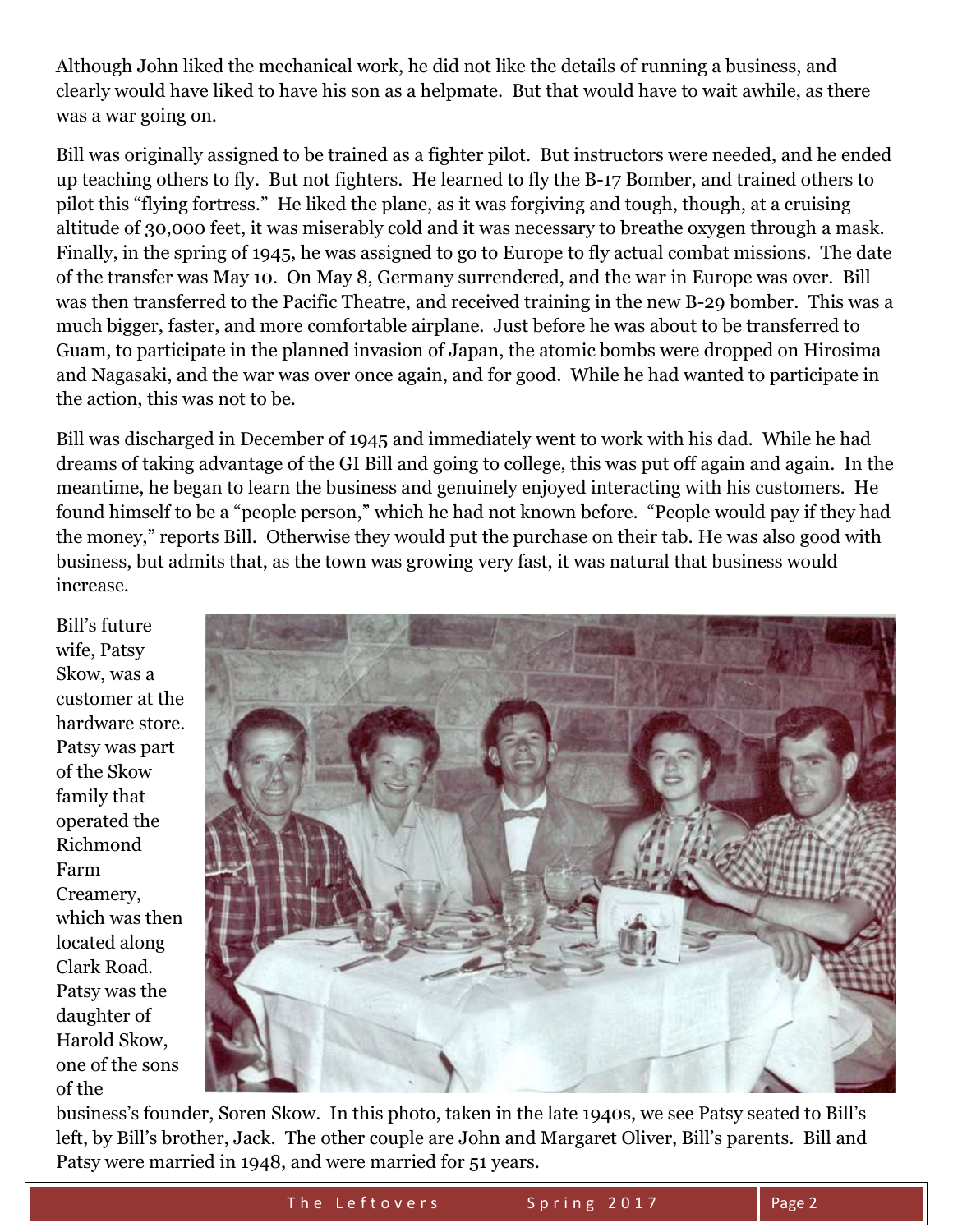Although John liked the mechanical work, he did not like the details of running a business, and clearly would have liked to have his son as a helpmate. But that would have to wait awhile, as there was a war going on.

Bill was originally assigned to be trained as a fighter pilot. But instructors were needed, and he ended up teaching others to fly. But not fighters. He learned to fly the B-17 Bomber, and trained others to pilot this "flying fortress." He liked the plane, as it was forgiving and tough, though, at a cruising altitude of 30,000 feet, it was miserably cold and it was necessary to breathe oxygen through a mask. Finally, in the spring of 1945, he was assigned to go to Europe to fly actual combat missions. The date of the transfer was May 10. On May 8, Germany surrendered, and the war in Europe was over. Bill was then transferred to the Pacific Theatre, and received training in the new B-29 bomber. This was a much bigger, faster, and more comfortable airplane. Just before he was about to be transferred to Guam, to participate in the planned invasion of Japan, the atomic bombs were dropped on Hirosima and Nagasaki, and the war was over once again, and for good. While he had wanted to participate in the action, this was not to be.

Bill was discharged in December of 1945 and immediately went to work with his dad. While he had dreams of taking advantage of the GI Bill and going to college, this was put off again and again. In the meantime, he began to learn the business and genuinely enjoyed interacting with his customers. He found himself to be a "people person," which he had not known before. "People would pay if they had the money," reports Bill. Otherwise they would put the purchase on their tab. He was also good with business, but admits that, as the town was growing very fast, it was natural that business would increase.

Bill's future wife, Patsy Skow, was a customer at the hardware store. Patsy was part of the Skow family that operated the Richmond Farm Creamery, which was then located along Clark Road. Patsy was the daughter of Harold Skow, one of the sons of the



business's founder, Soren Skow. In this photo, taken in the late 1940s, we see Patsy seated to Bill's left, by Bill's brother, Jack. The other couple are John and Margaret Oliver, Bill's parents. Bill and Patsy were married in 1948, and were married for 51 years.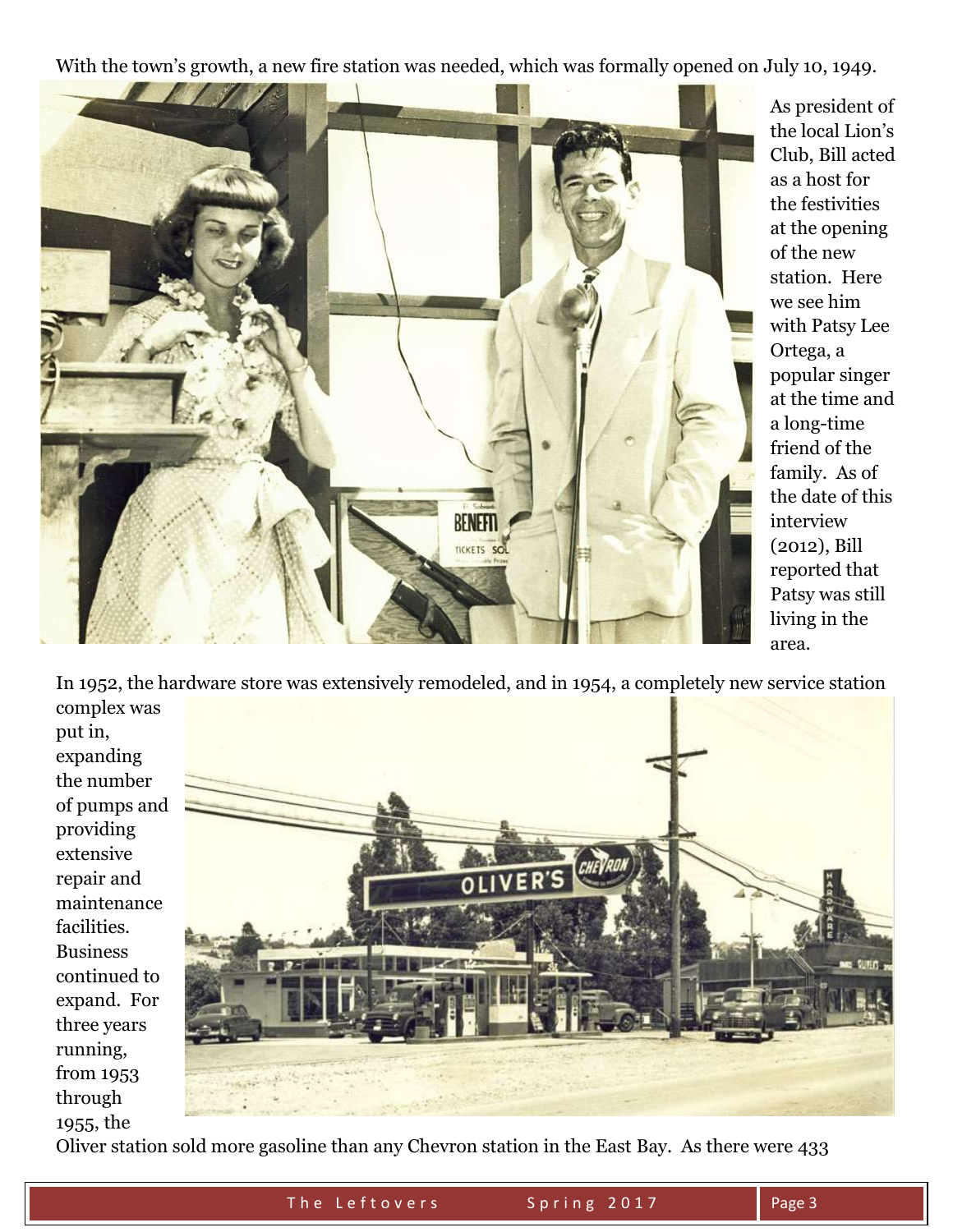With the town's growth, a new fire station was needed, which was formally opened on July 10, 1949.



As president of the local Lion's Club, Bill acted as a host for the festivities at the opening of the new station. Here we see him with Patsy Lee Ortega, a popular singer at the time and a long-time friend of the family. As of the date of this interview (2012), Bill reported that Patsy was still living in the area.

In 1952, the hardware store was extensively remodeled, and in 1954, a completely new service station complex was

put in, expanding the number of pumps and providing extensive repair and maintenance facilities. Business continued to expand. For three years running, from 1953 through 1955, the



Oliver station sold more gasoline than any Chevron station in the East Bay. As there were 433

The Leftovers Spring 2017 Rage 3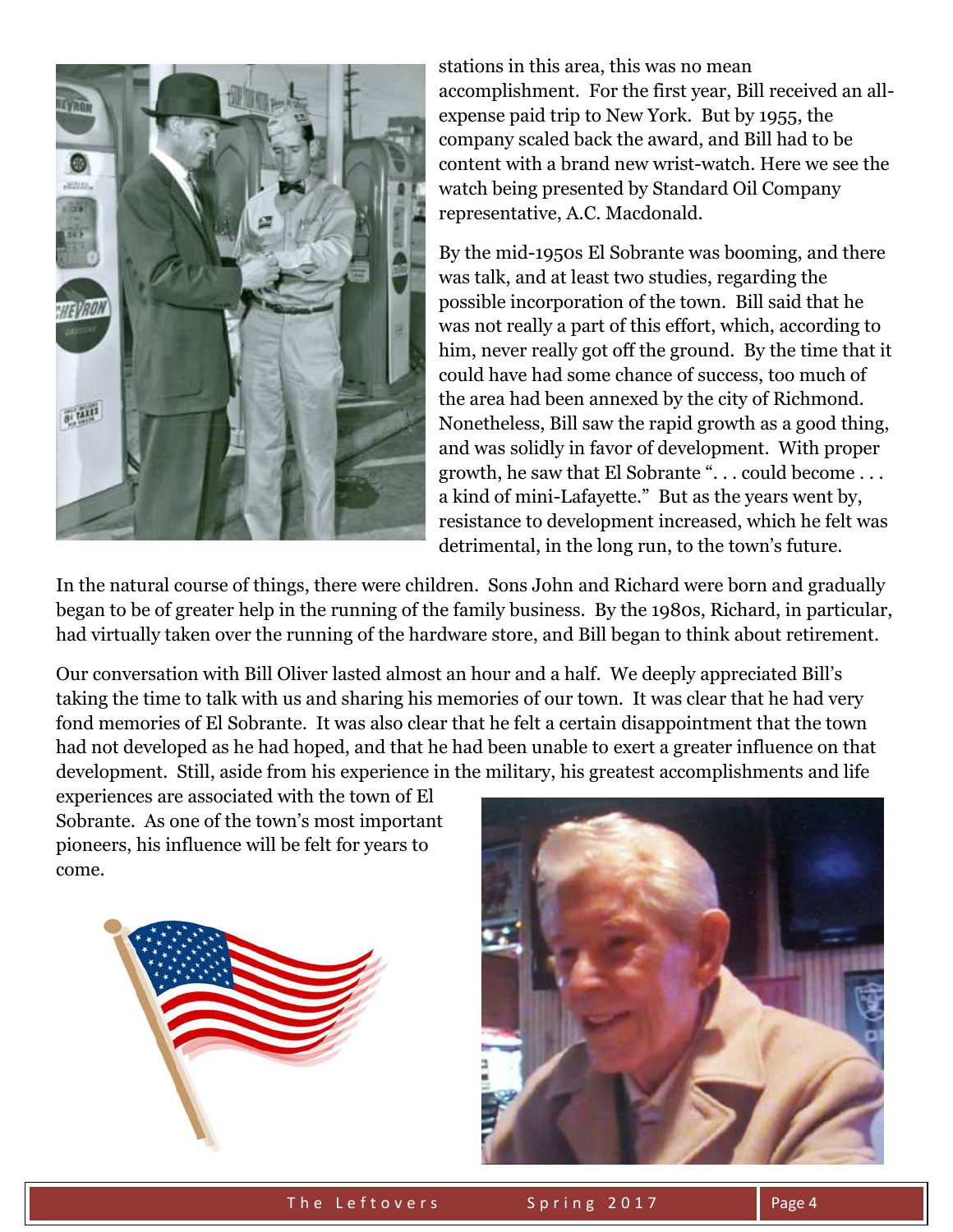

stations in this area, this was no mean accomplishment. For the first year, Bill received an allexpense paid trip to New York. But by 1955, the company scaled back the award, and Bill had to be content with a brand new wrist-watch. Here we see the watch being presented by Standard Oil Company representative, A.C. Macdonald.

By the mid-1950s El Sobrante was booming, and there was talk, and at least two studies, regarding the possible incorporation of the town. Bill said that he was not really a part of this effort, which, according to him, never really got off the ground. By the time that it could have had some chance of success, too much of the area had been annexed by the city of Richmond. Nonetheless, Bill saw the rapid growth as a good thing, and was solidly in favor of development. With proper growth, he saw that El Sobrante ". . . could become . . . a kind of mini-Lafayette." But as the years went by, resistance to development increased, which he felt was detrimental, in the long run, to the town's future.

In the natural course of things, there were children. Sons John and Richard were born and gradually began to be of greater help in the running of the family business. By the 1980s, Richard, in particular, had virtually taken over the running of the hardware store, and Bill began to think about retirement.

Our conversation with Bill Oliver lasted almost an hour and a half. We deeply appreciated Bill's taking the time to talk with us and sharing his memories of our town. It was clear that he had very fond memories of El Sobrante. It was also clear that he felt a certain disappointment that the town had not developed as he had hoped, and that he had been unable to exert a greater influence on that development. Still, aside from his experience in the military, his greatest accomplishments and life

experiences are associated with the town of El Sobrante. As one of the town's most important pioneers, his influence will be felt for years to come.



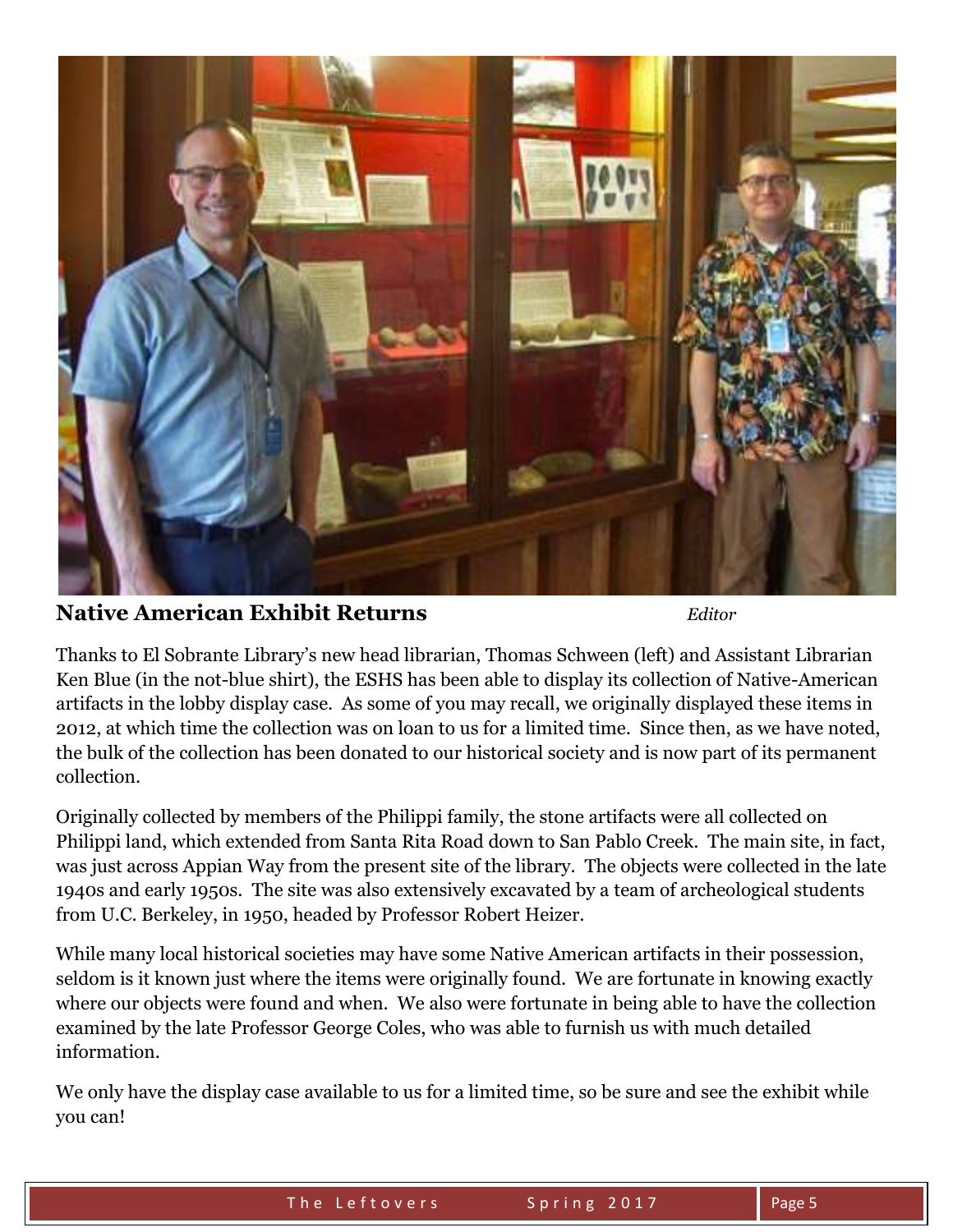

**Native American Exhibit Returns** *Editor*

Thanks to El Sobrante Library's new head librarian, Thomas Schween (left) and Assistant Librarian Ken Blue (in the not-blue shirt), the ESHS has been able to display its collection of Native-American artifacts in the lobby display case. As some of you may recall, we originally displayed these items in 2012, at which time the collection was on loan to us for a limited time. Since then, as we have noted, the bulk of the collection has been donated to our historical society and is now part of its permanent collection.

Originally collected by members of the Philippi family, the stone artifacts were all collected on Philippi land, which extended from Santa Rita Road down to San Pablo Creek. The main site, in fact, was just across Appian Way from the present site of the library. The objects were collected in the late 1940s and early 1950s. The site was also extensively excavated by a team of archeological students from U.C. Berkeley, in 1950, headed by Professor Robert Heizer.

While many local historical societies may have some Native American artifacts in their possession, seldom is it known just where the items were originally found. We are fortunate in knowing exactly where our objects were found and when. We also were fortunate in being able to have the collection examined by the late Professor George Coles, who was able to furnish us with much detailed information.

We only have the display case available to us for a limited time, so be sure and see the exhibit while you can!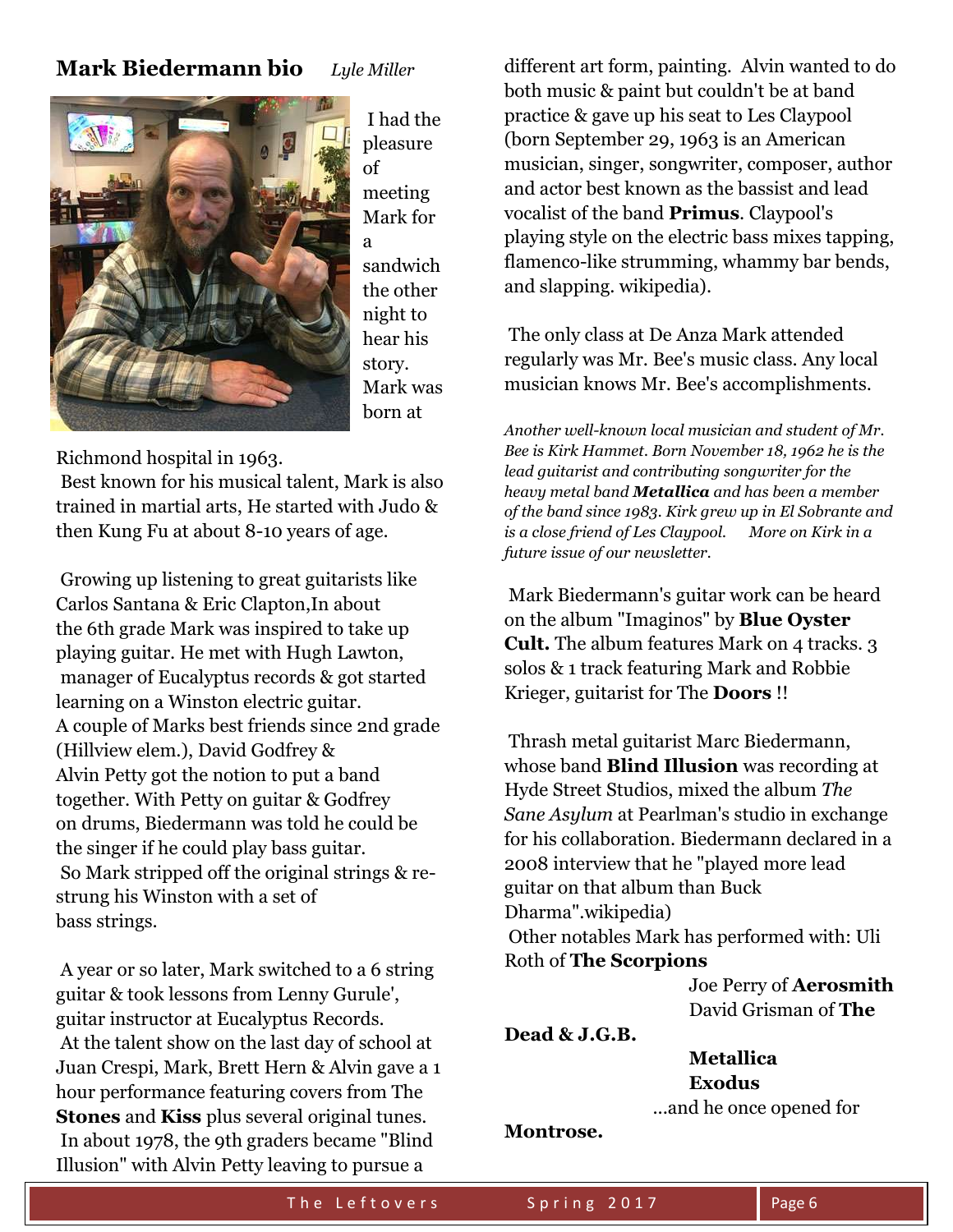## **Mark Biedermann bio** *Lyle Miller*



I had the pleasure of meeting Mark for a sandwich the other night to hear his story. Mark was born at

Richmond hospital in 1963.

Best known for his musical talent, Mark is also trained in martial arts, He started with Judo & then Kung Fu at about 8-10 years of age.

Growing up listening to great guitarists like Carlos Santana & Eric Clapton,In about the 6th grade Mark was inspired to take up playing guitar. He met with Hugh Lawton, manager of Eucalyptus records & got started learning on a Winston electric guitar. A couple of Marks best friends since 2nd grade (Hillview elem.), David Godfrey & Alvin Petty got the notion to put a band together. With Petty on guitar & Godfrey on drums, Biedermann was told he could be the singer if he could play bass guitar. So Mark stripped off the original strings & restrung his Winston with a set of bass strings.

A year or so later, Mark switched to a 6 string guitar & took lessons from Lenny Gurule', guitar instructor at Eucalyptus Records. At the talent show on the last day of school at Juan Crespi, Mark, Brett Hern & Alvin gave a 1 hour performance featuring covers from The **Stones** and **Kiss** plus several original tunes. In about 1978, the 9th graders became "Blind Illusion" with Alvin Petty leaving to pursue a

different art form, painting. Alvin wanted to do both music & paint but couldn't be at band practice & gave up his seat to Les Claypool (born September 29, 1963 is an American musician, singer, songwriter, composer, author and actor best known as the bassist and lead vocalist of the band **Primus**. Claypool's playing style on the electric bass mixes tapping, flamenco-like strumming, whammy bar bends, and slapping. wikipedia).

The only class at De Anza Mark attended regularly was Mr. Bee's music class. Any local musician knows Mr. Bee's accomplishments.

*Another well-known local musician and student of Mr. Bee is Kirk Hammet. Born November 18, 1962 he is the lead guitarist and contributing songwriter for the heavy metal band Metallica and has been a member of the band since 1983. Kirk grew up in El Sobrante and is a close friend of Les Claypool. More on Kirk in a future issue of our newsletter.*

Mark Biedermann's guitar work can be heard on the album "Imaginos" by **Blue Oyster Cult.** The album features Mark on 4 tracks. 3 solos & 1 track featuring Mark and Robbie Krieger, guitarist for The **Doors** !!

Thrash metal guitarist Marc Biedermann, whose band **Blind Illusion** was recording at Hyde Street Studios, mixed the album *The Sane Asylum* at Pearlman's studio in exchange for his collaboration. Biedermann declared in a 2008 interview that he "played more lead guitar on that album than Buck Dharma".wikipedia) Other notables Mark has performed with: Uli

#### Roth of **The Scorpions**

 Joe Perry of **Aerosmith** David Grisman of **The** 

**Dead & J.G.B.**

 **Metallica Exodus** ...and he once opened for

**Montrose.**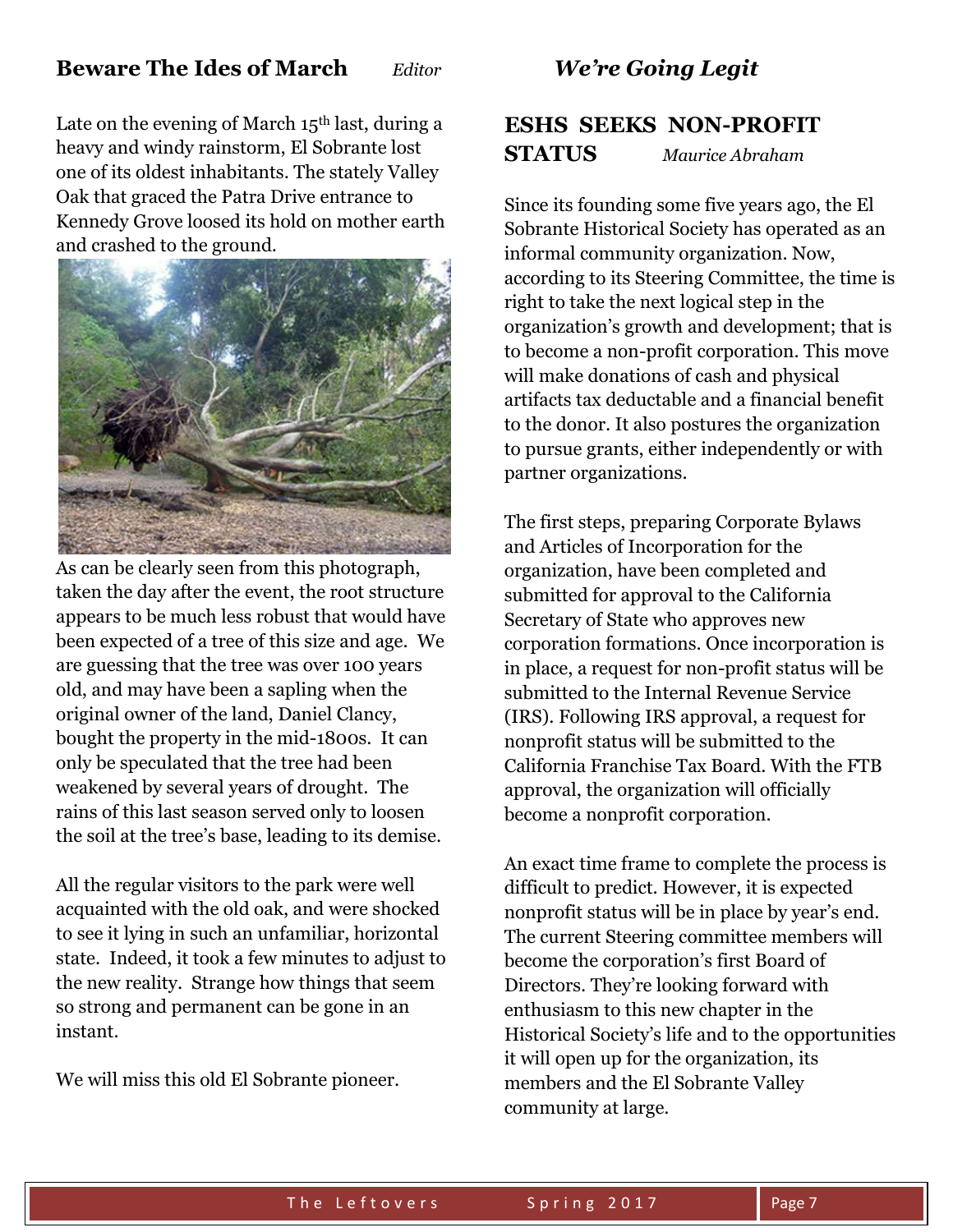## **Beware The Ides of March** *Editor*

Late on the evening of March  $15<sup>th</sup>$  last, during a heavy and windy rainstorm, El Sobrante lost one of its oldest inhabitants. The stately Valley Oak that graced the Patra Drive entrance to Kennedy Grove loosed its hold on mother earth and crashed to the ground.



As can be clearly seen from this photograph, taken the day after the event, the root structure appears to be much less robust that would have been expected of a tree of this size and age. We are guessing that the tree was over 100 years old, and may have been a sapling when the original owner of the land, Daniel Clancy, bought the property in the mid-1800s. It can only be speculated that the tree had been weakened by several years of drought. The rains of this last season served only to loosen the soil at the tree's base, leading to its demise.

All the regular visitors to the park were well acquainted with the old oak, and were shocked to see it lying in such an unfamiliar, horizontal state. Indeed, it took a few minutes to adjust to the new reality. Strange how things that seem so strong and permanent can be gone in an instant.

We will miss this old El Sobrante pioneer.

### *We're Going Legit*

# **ESHS SEEKS NON-PROFIT STATUS** *Maurice Abraham*

Since its founding some five years ago, the El Sobrante Historical Society has operated as an informal community organization. Now, according to its Steering Committee, the time is right to take the next logical step in the organization's growth and development; that is to become a non-profit corporation. This move will make donations of cash and physical artifacts tax deductable and a financial benefit to the donor. It also postures the organization to pursue grants, either independently or with partner organizations.

The first steps, preparing Corporate Bylaws and Articles of Incorporation for the organization, have been completed and submitted for approval to the California Secretary of State who approves new corporation formations. Once incorporation is in place, a request for non-profit status will be submitted to the Internal Revenue Service (IRS). Following IRS approval, a request for nonprofit status will be submitted to the California Franchise Tax Board. With the FTB approval, the organization will officially become a nonprofit corporation.

An exact time frame to complete the process is difficult to predict. However, it is expected nonprofit status will be in place by year's end. The current Steering committee members will become the corporation's first Board of Directors. They're looking forward with enthusiasm to this new chapter in the Historical Society's life and to the opportunities it will open up for the organization, its members and the El Sobrante Valley community at large.